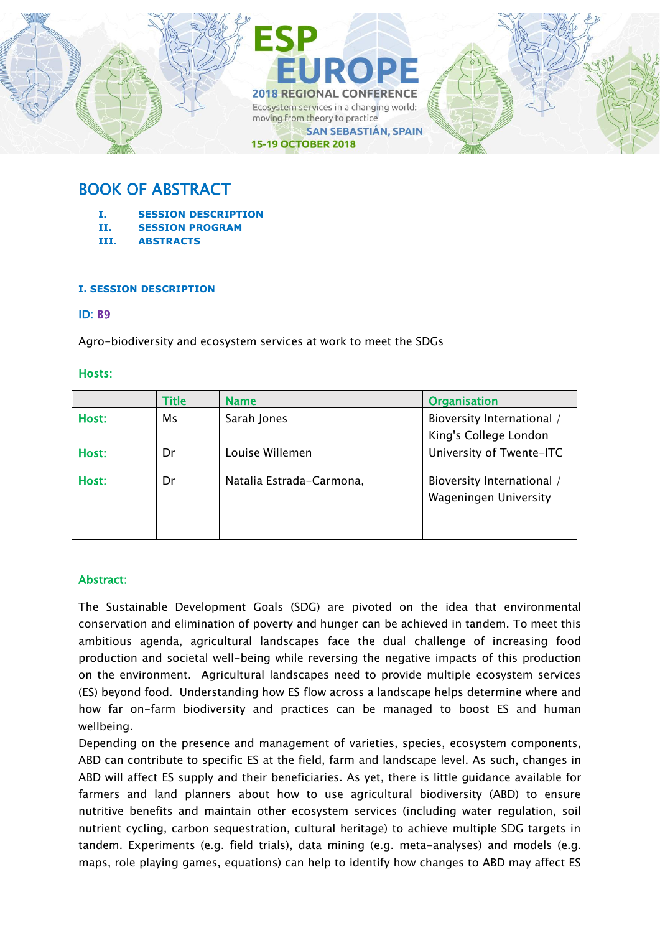

# BOOK OF ABSTRACT

- **I. SESSION DESCRIPTION**
- **II. SESSION PROGRAM**
- **III. ABSTRACTS**

## **I. SESSION DESCRIPTION**

## ID: B9

Agro-biodiversity and ecosystem services at work to meet the SDGs

## Hosts:

|       | <b>Title</b> | <b>Name</b>              | <b>Organisation</b>                                 |
|-------|--------------|--------------------------|-----------------------------------------------------|
| Host: | Ms           | Sarah Jones              | Bioversity International /<br>King's College London |
| Host: | Dr           | Louise Willemen          | University of Twente-ITC                            |
| Host: | Dr           | Natalia Estrada-Carmona, | Bioversity International /<br>Wageningen University |

# Abstract:

The Sustainable Development Goals (SDG) are pivoted on the idea that environmental conservation and elimination of poverty and hunger can be achieved in tandem. To meet this ambitious agenda, agricultural landscapes face the dual challenge of increasing food production and societal well-being while reversing the negative impacts of this production on the environment. Agricultural landscapes need to provide multiple ecosystem services (ES) beyond food. Understanding how ES flow across a landscape helps determine where and how far on-farm biodiversity and practices can be managed to boost ES and human wellbeing.

Depending on the presence and management of varieties, species, ecosystem components, ABD can contribute to specific ES at the field, farm and landscape level. As such, changes in ABD will affect ES supply and their beneficiaries. As yet, there is little guidance available for farmers and land planners about how to use agricultural biodiversity (ABD) to ensure nutritive benefits and maintain other ecosystem services (including water regulation, soil nutrient cycling, carbon sequestration, cultural heritage) to achieve multiple SDG targets in tandem. Experiments (e.g. field trials), data mining (e.g. meta-analyses) and models (e.g. maps, role playing games, equations) can help to identify how changes to ABD may affect ES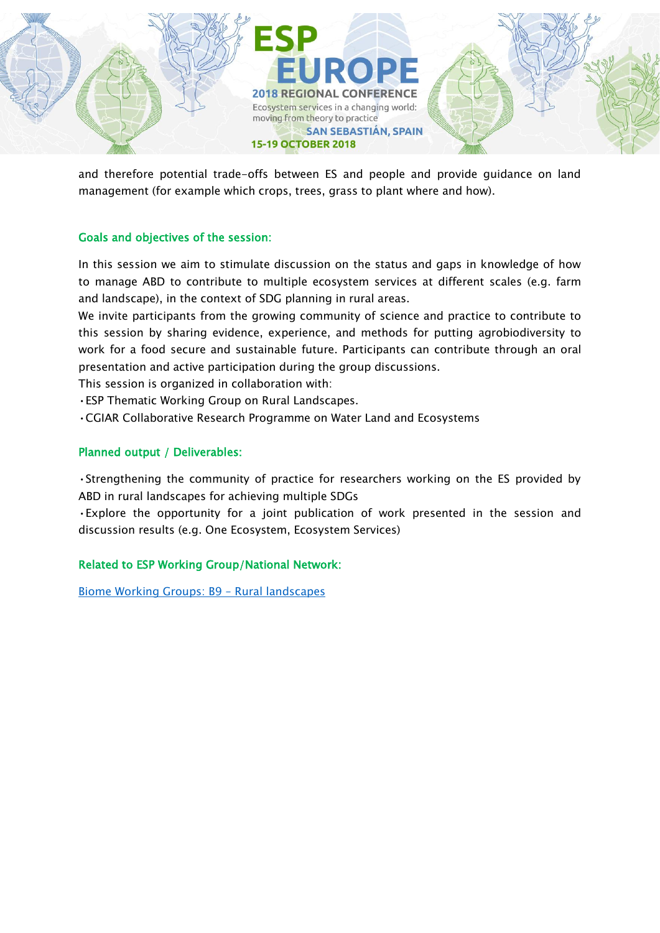

and therefore potential trade-offs between ES and people and provide guidance on land management (for example which crops, trees, grass to plant where and how).

# Goals and objectives of the session:

In this session we aim to stimulate discussion on the status and gaps in knowledge of how to manage ABD to contribute to multiple ecosystem services at different scales (e.g. farm and landscape), in the context of SDG planning in rural areas.

We invite participants from the growing community of science and practice to contribute to this session by sharing evidence, experience, and methods for putting agrobiodiversity to work for a food secure and sustainable future. Participants can contribute through an oral presentation and active participation during the group discussions.

This session is organized in collaboration with:

•ESP Thematic Working Group on Rural Landscapes.

•CGIAR Collaborative Research Programme on Water Land and Ecosystems

# Planned output / Deliverables:

•Strengthening the community of practice for researchers working on the ES provided by ABD in rural landscapes for achieving multiple SDGs

•Explore the opportunity for a joint publication of work presented in the session and discussion results (e.g. One Ecosystem, Ecosystem Services)

# Related to ESP Working Group/National Network:

[Biome Working Groups: B9](https://www.es-partnership.org/community/workings-groups/biome-working-groups/bwg-9-rural-landscapes/) – Rural landscapes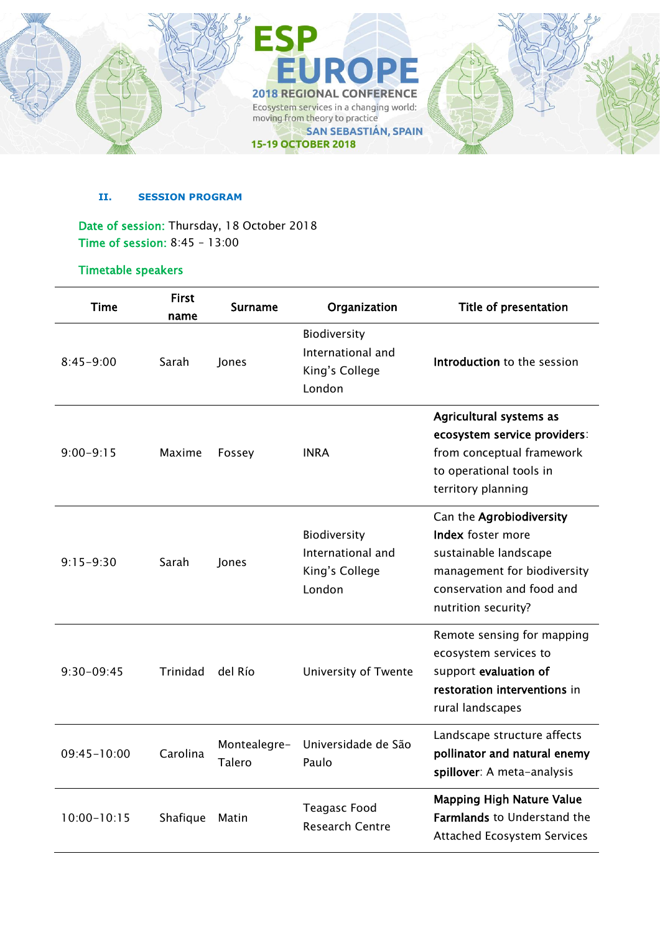

## **II. SESSION PROGRAM**

Date of session: Thursday, 18 October 2018 Time of session: 8:45 – 13:00

# Timetable speakers

| <b>Time</b>     | <b>First</b><br>name | <b>Surname</b>                | Organization                                                  | <b>Title of presentation</b>                                                                                                                                     |
|-----------------|----------------------|-------------------------------|---------------------------------------------------------------|------------------------------------------------------------------------------------------------------------------------------------------------------------------|
| $8:45 - 9:00$   | Sarah                | Jones                         | Biodiversity<br>International and<br>King's College<br>London | Introduction to the session                                                                                                                                      |
| $9:00 - 9:15$   | Maxime               | Fossey                        | <b>INRA</b>                                                   | Agricultural systems as<br>ecosystem service providers:<br>from conceptual framework<br>to operational tools in<br>territory planning                            |
| $9:15-9:30$     | Sarah                | Jones                         | Biodiversity<br>International and<br>King's College<br>London | Can the Agrobiodiversity<br><b>Index</b> foster more<br>sustainable landscape<br>management for biodiversity<br>conservation and food and<br>nutrition security? |
| $9:30-09:45$    | Trinidad             | del Río                       | University of Twente                                          | Remote sensing for mapping<br>ecosystem services to<br>support evaluation of<br>restoration interventions in<br>rural landscapes                                 |
| $09:45 - 10:00$ | Carolina             | Montealegre-<br><b>Talero</b> | Universidade de São<br>Paulo                                  | Landscape structure affects<br>pollinator and natural enemy<br>spillover: A meta-analysis                                                                        |
| $10:00 - 10:15$ | Shafique             | Matin                         | <b>Teagasc Food</b><br><b>Research Centre</b>                 | <b>Mapping High Nature Value</b><br><b>Farmlands to Understand the</b><br><b>Attached Ecosystem Services</b>                                                     |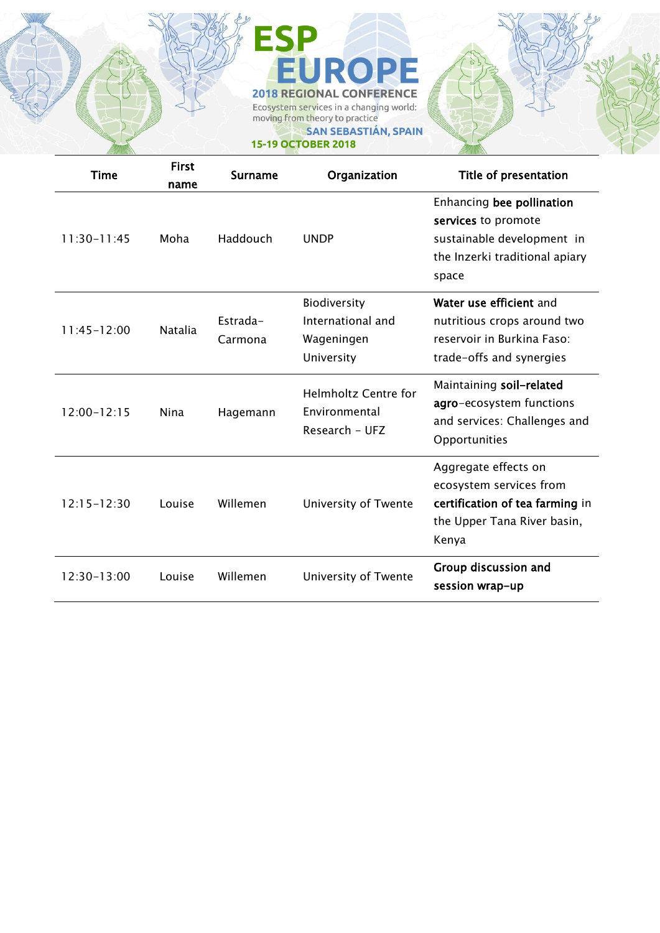# ESP<br>EUROPE **2018 REGIONAL CONFERENCE** Ecosystem services in a changing world:<br>moving from theory to practice SAN SEBASTIÁN, SPAIN **15-19 OCTOBER 2018**

| <b>Time</b>     | <b>First</b><br>name | <b>Surname</b>      | Organization                                                   | Title of presentation                                                                                                      |
|-----------------|----------------------|---------------------|----------------------------------------------------------------|----------------------------------------------------------------------------------------------------------------------------|
| $11:30-11:45$   | Moha                 | Haddouch            | <b>UNDP</b>                                                    | Enhancing bee pollination<br>services to promote<br>sustainable development in<br>the Inzerki traditional apiary<br>space  |
| 11:45-12:00     | <b>Natalia</b>       | Estrada-<br>Carmona | Biodiversity<br>International and<br>Wageningen<br>University  | Water use efficient and<br>nutritious crops around two<br>reservoir in Burkina Faso:<br>trade-offs and synergies           |
| 12:00-12:15     | Nina                 | Hagemann            | <b>Helmholtz Centre for</b><br>Environmental<br>Research - UFZ | Maintaining soil-related<br>agro-ecosystem functions<br>and services: Challenges and<br>Opportunities                      |
| $12:15 - 12:30$ | Louise               | Willemen            | University of Twente                                           | Aggregate effects on<br>ecosystem services from<br>certification of tea farming in<br>the Upper Tana River basin,<br>Kenya |
| 12:30-13:00     | Louise               | Willemen            | University of Twente                                           | Group discussion and<br>session wrap-up                                                                                    |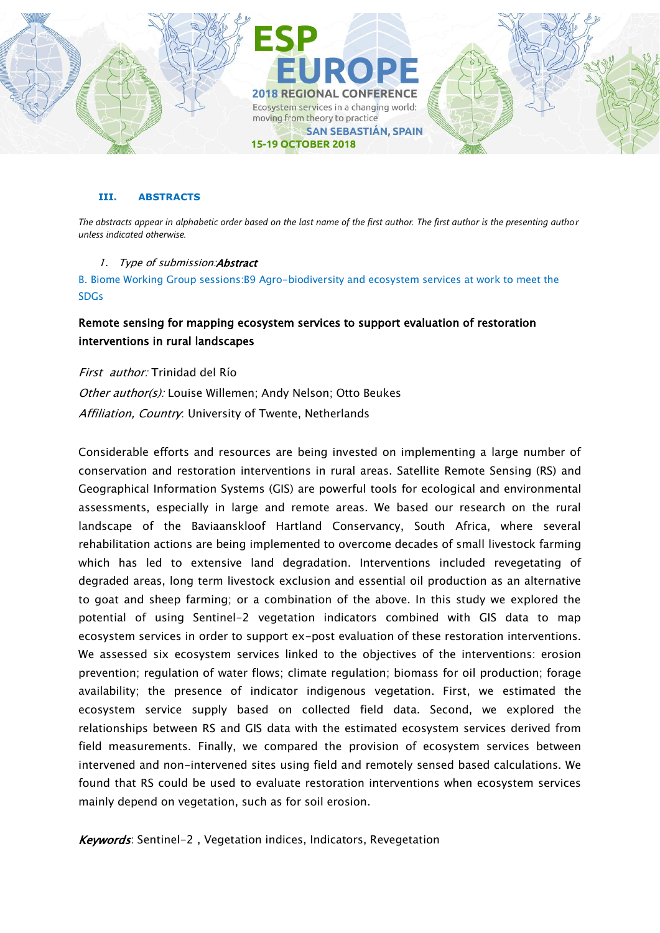

## **III. ABSTRACTS**

*The abstracts appear in alphabetic order based on the last name of the first author. The first author is the presenting author unless indicated otherwise.*

## 1. Type of submission: Abstract

B. Biome Working Group sessions:B9 Agro-biodiversity and ecosystem services at work to meet the SDGs

# Remote sensing for mapping ecosystem services to support evaluation of restoration interventions in rural landscapes

First author: Trinidad del Río Other author(s): Louise Willemen; Andy Nelson; Otto Beukes Affiliation, Country: University of Twente, Netherlands

Considerable efforts and resources are being invested on implementing a large number of conservation and restoration interventions in rural areas. Satellite Remote Sensing (RS) and Geographical Information Systems (GIS) are powerful tools for ecological and environmental assessments, especially in large and remote areas. We based our research on the rural landscape of the Baviaanskloof Hartland Conservancy, South Africa, where several rehabilitation actions are being implemented to overcome decades of small livestock farming which has led to extensive land degradation. Interventions included revegetating of degraded areas, long term livestock exclusion and essential oil production as an alternative to goat and sheep farming; or a combination of the above. In this study we explored the potential of using Sentinel-2 vegetation indicators combined with GIS data to map ecosystem services in order to support ex-post evaluation of these restoration interventions. We assessed six ecosystem services linked to the objectives of the interventions: erosion prevention; regulation of water flows; climate regulation; biomass for oil production; forage availability; the presence of indicator indigenous vegetation. First, we estimated the ecosystem service supply based on collected field data. Second, we explored the relationships between RS and GIS data with the estimated ecosystem services derived from field measurements. Finally, we compared the provision of ecosystem services between intervened and non-intervened sites using field and remotely sensed based calculations. We found that RS could be used to evaluate restoration interventions when ecosystem services mainly depend on vegetation, such as for soil erosion.

Keywords: Sentinel-2, Vegetation indices, Indicators, Revegetation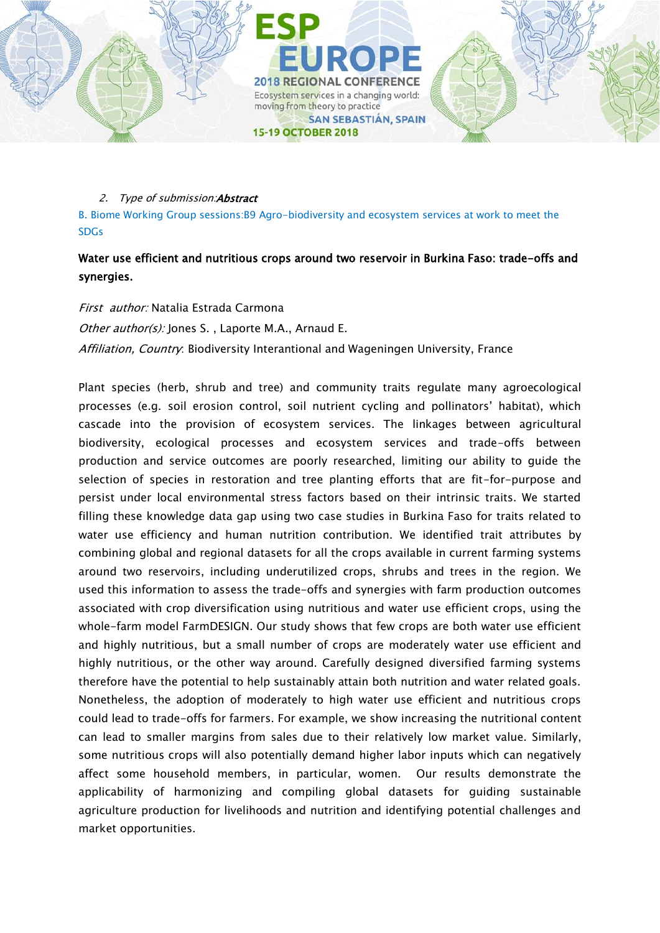

B. Biome Working Group sessions:B9 Agro-biodiversity and ecosystem services at work to meet the SDGs

# Water use efficient and nutritious crops around two reservoir in Burkina Faso: trade-offs and synergies.

First author: Natalia Estrada Carmona Other author(s): Jones S., Laporte M.A., Arnaud E. Affiliation, Country: Biodiversity Interantional and Wageningen University, France

Plant species (herb, shrub and tree) and community traits regulate many agroecological processes (e.g. soil erosion control, soil nutrient cycling and pollinators' habitat), which cascade into the provision of ecosystem services. The linkages between agricultural biodiversity, ecological processes and ecosystem services and trade-offs between production and service outcomes are poorly researched, limiting our ability to guide the selection of species in restoration and tree planting efforts that are fit-for-purpose and persist under local environmental stress factors based on their intrinsic traits. We started filling these knowledge data gap using two case studies in Burkina Faso for traits related to water use efficiency and human nutrition contribution. We identified trait attributes by combining global and regional datasets for all the crops available in current farming systems around two reservoirs, including underutilized crops, shrubs and trees in the region. We used this information to assess the trade-offs and synergies with farm production outcomes associated with crop diversification using nutritious and water use efficient crops, using the whole-farm model FarmDESIGN. Our study shows that few crops are both water use efficient and highly nutritious, but a small number of crops are moderately water use efficient and highly nutritious, or the other way around. Carefully designed diversified farming systems therefore have the potential to help sustainably attain both nutrition and water related goals. Nonetheless, the adoption of moderately to high water use efficient and nutritious crops could lead to trade-offs for farmers. For example, we show increasing the nutritional content can lead to smaller margins from sales due to their relatively low market value. Similarly, some nutritious crops will also potentially demand higher labor inputs which can negatively affect some household members, in particular, women. Our results demonstrate the applicability of harmonizing and compiling global datasets for guiding sustainable agriculture production for livelihoods and nutrition and identifying potential challenges and market opportunities.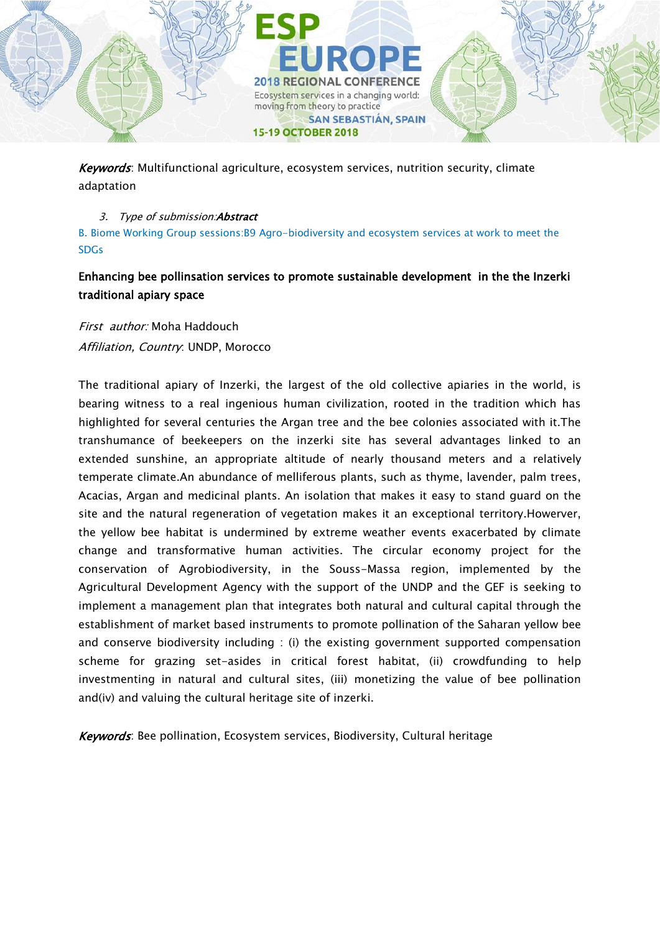

Keywords: Multifunctional agriculture, ecosystem services, nutrition security, climate adaptation

## 3. Type of submission: Abstract

B. Biome Working Group sessions:B9 Agro-biodiversity and ecosystem services at work to meet the SDGs

# Enhancing bee pollinsation services to promote sustainable development in the the Inzerki traditional apiary space

First author: Moha Haddouch Affiliation, Country: UNDP, Morocco

The traditional apiary of Inzerki, the largest of the old collective apiaries in the world, is bearing witness to a real ingenious human civilization, rooted in the tradition which has highlighted for several centuries the Argan tree and the bee colonies associated with it.The transhumance of beekeepers on the inzerki site has several advantages linked to an extended sunshine, an appropriate altitude of nearly thousand meters and a relatively temperate climate.An abundance of melliferous plants, such as thyme, lavender, palm trees, Acacias, Argan and medicinal plants. An isolation that makes it easy to stand guard on the site and the natural regeneration of vegetation makes it an exceptional territory.Howerver, the yellow bee habitat is undermined by extreme weather events exacerbated by climate change and transformative human activities. The circular economy project for the conservation of Agrobiodiversity, in the Souss-Massa region, implemented by the Agricultural Development Agency with the support of the UNDP and the GEF is seeking to implement a management plan that integrates both natural and cultural capital through the establishment of market based instruments to promote pollination of the Saharan yellow bee and conserve biodiversity including : (i) the existing government supported compensation scheme for grazing set-asides in critical forest habitat, (ii) crowdfunding to help investmenting in natural and cultural sites, (iii) monetizing the value of bee pollination and(iv) and valuing the cultural heritage site of inzerki.

Keywords: Bee pollination, Ecosystem services, Biodiversity, Cultural heritage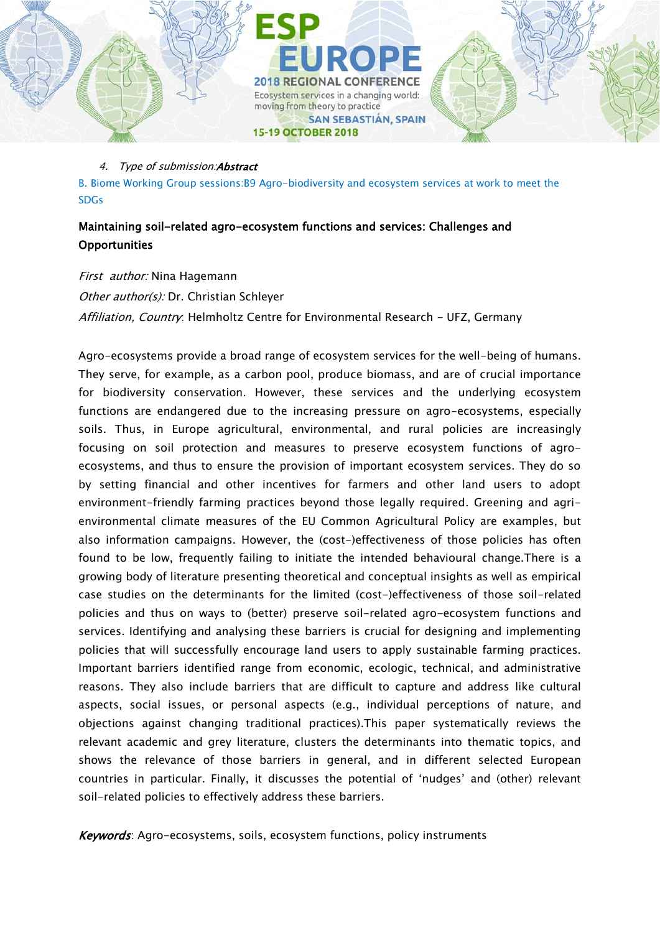

B. Biome Working Group sessions:B9 Agro-biodiversity and ecosystem services at work to meet the SDGs

# Maintaining soil-related agro-ecosystem functions and services: Challenges and **Opportunities**

First author: Nina Hagemann Other author(s): Dr. Christian Schleyer Affiliation, Country: Helmholtz Centre for Environmental Research - UFZ, Germany

Agro-ecosystems provide a broad range of ecosystem services for the well-being of humans. They serve, for example, as a carbon pool, produce biomass, and are of crucial importance for biodiversity conservation. However, these services and the underlying ecosystem functions are endangered due to the increasing pressure on agro-ecosystems, especially soils. Thus, in Europe agricultural, environmental, and rural policies are increasingly focusing on soil protection and measures to preserve ecosystem functions of agroecosystems, and thus to ensure the provision of important ecosystem services. They do so by setting financial and other incentives for farmers and other land users to adopt environment-friendly farming practices beyond those legally required. Greening and agrienvironmental climate measures of the EU Common Agricultural Policy are examples, but also information campaigns. However, the (cost-)effectiveness of those policies has often found to be low, frequently failing to initiate the intended behavioural change.There is a growing body of literature presenting theoretical and conceptual insights as well as empirical case studies on the determinants for the limited (cost-)effectiveness of those soil-related policies and thus on ways to (better) preserve soil-related agro-ecosystem functions and services. Identifying and analysing these barriers is crucial for designing and implementing policies that will successfully encourage land users to apply sustainable farming practices. Important barriers identified range from economic, ecologic, technical, and administrative reasons. They also include barriers that are difficult to capture and address like cultural aspects, social issues, or personal aspects (e.g., individual perceptions of nature, and objections against changing traditional practices).This paper systematically reviews the relevant academic and grey literature, clusters the determinants into thematic topics, and shows the relevance of those barriers in general, and in different selected European countries in particular. Finally, it discusses the potential of 'nudges' and (other) relevant soil-related policies to effectively address these barriers.

Keywords: Agro-ecosystems, soils, ecosystem functions, policy instruments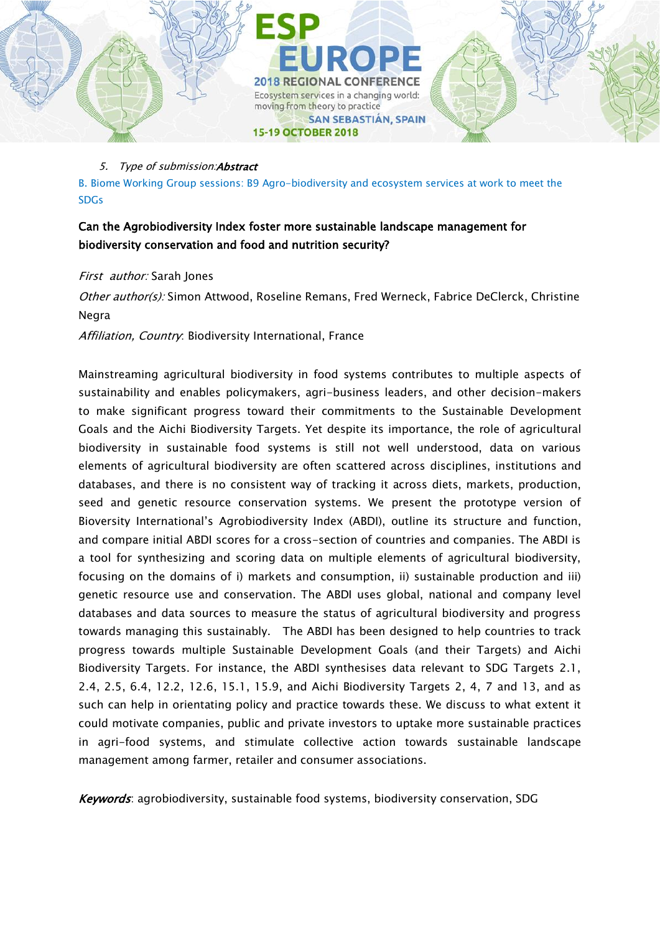

B. Biome Working Group sessions: B9 Agro-biodiversity and ecosystem services at work to meet the SDGs

moving from theory to practice

**15-19 OCTOBER 2018** 

**2018 REGIONAL CONFERENCE** Ecosystem services in a changing world:

**SAN SEBASTIÁN, SPAIN** 

# Can the Agrobiodiversity Index foster more sustainable landscape management for biodiversity conservation and food and nutrition security?

## First author: Sarah Jones

Other author(s): Simon Attwood, Roseline Remans, Fred Werneck, Fabrice DeClerck, Christine Negra

Affiliation, Country. Biodiversity International, France

Mainstreaming agricultural biodiversity in food systems contributes to multiple aspects of sustainability and enables policymakers, agri-business leaders, and other decision-makers to make significant progress toward their commitments to the Sustainable Development Goals and the Aichi Biodiversity Targets. Yet despite its importance, the role of agricultural biodiversity in sustainable food systems is still not well understood, data on various elements of agricultural biodiversity are often scattered across disciplines, institutions and databases, and there is no consistent way of tracking it across diets, markets, production, seed and genetic resource conservation systems. We present the prototype version of Bioversity International's Agrobiodiversity Index (ABDI), outline its structure and function, and compare initial ABDI scores for a cross-section of countries and companies. The ABDI is a tool for synthesizing and scoring data on multiple elements of agricultural biodiversity, focusing on the domains of i) markets and consumption, ii) sustainable production and iii) genetic resource use and conservation. The ABDI uses global, national and company level databases and data sources to measure the status of agricultural biodiversity and progress towards managing this sustainably. The ABDI has been designed to help countries to track progress towards multiple Sustainable Development Goals (and their Targets) and Aichi Biodiversity Targets. For instance, the ABDI synthesises data relevant to SDG Targets 2.1, 2.4, 2.5, 6.4, 12.2, 12.6, 15.1, 15.9, and Aichi Biodiversity Targets 2, 4, 7 and 13, and as such can help in orientating policy and practice towards these. We discuss to what extent it could motivate companies, public and private investors to uptake more sustainable practices in agri-food systems, and stimulate collective action towards sustainable landscape management among farmer, retailer and consumer associations.

Keywords: agrobiodiversity, sustainable food systems, biodiversity conservation, SDG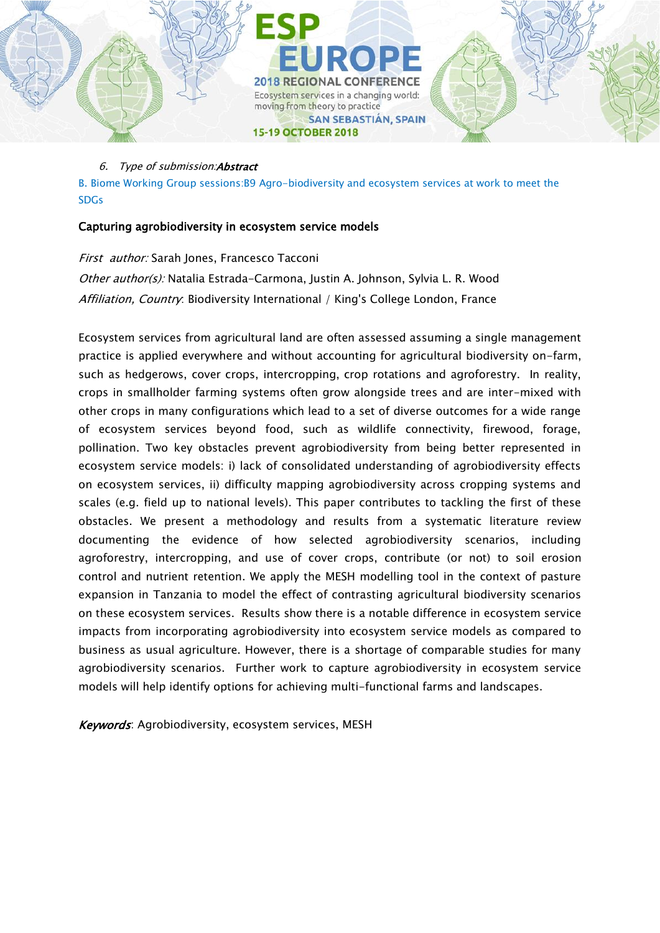

B. Biome Working Group sessions:B9 Agro-biodiversity and ecosystem services at work to meet the SDGs

## Capturing agrobiodiversity in ecosystem service models

First author: Sarah Jones, Francesco Tacconi Other author(s): Natalia Estrada-Carmona, Justin A. Johnson, Sylvia L. R. Wood Affiliation, Country: Biodiversity International / King's College London, France

Ecosystem services from agricultural land are often assessed assuming a single management practice is applied everywhere and without accounting for agricultural biodiversity on-farm, such as hedgerows, cover crops, intercropping, crop rotations and agroforestry. In reality, crops in smallholder farming systems often grow alongside trees and are inter-mixed with other crops in many configurations which lead to a set of diverse outcomes for a wide range of ecosystem services beyond food, such as wildlife connectivity, firewood, forage, pollination. Two key obstacles prevent agrobiodiversity from being better represented in ecosystem service models: i) lack of consolidated understanding of agrobiodiversity effects on ecosystem services, ii) difficulty mapping agrobiodiversity across cropping systems and scales (e.g. field up to national levels). This paper contributes to tackling the first of these obstacles. We present a methodology and results from a systematic literature review documenting the evidence of how selected agrobiodiversity scenarios, including agroforestry, intercropping, and use of cover crops, contribute (or not) to soil erosion control and nutrient retention. We apply the MESH modelling tool in the context of pasture expansion in Tanzania to model the effect of contrasting agricultural biodiversity scenarios on these ecosystem services. Results show there is a notable difference in ecosystem service impacts from incorporating agrobiodiversity into ecosystem service models as compared to business as usual agriculture. However, there is a shortage of comparable studies for many agrobiodiversity scenarios. Further work to capture agrobiodiversity in ecosystem service models will help identify options for achieving multi-functional farms and landscapes.

Keywords: Agrobiodiversity, ecosystem services, MESH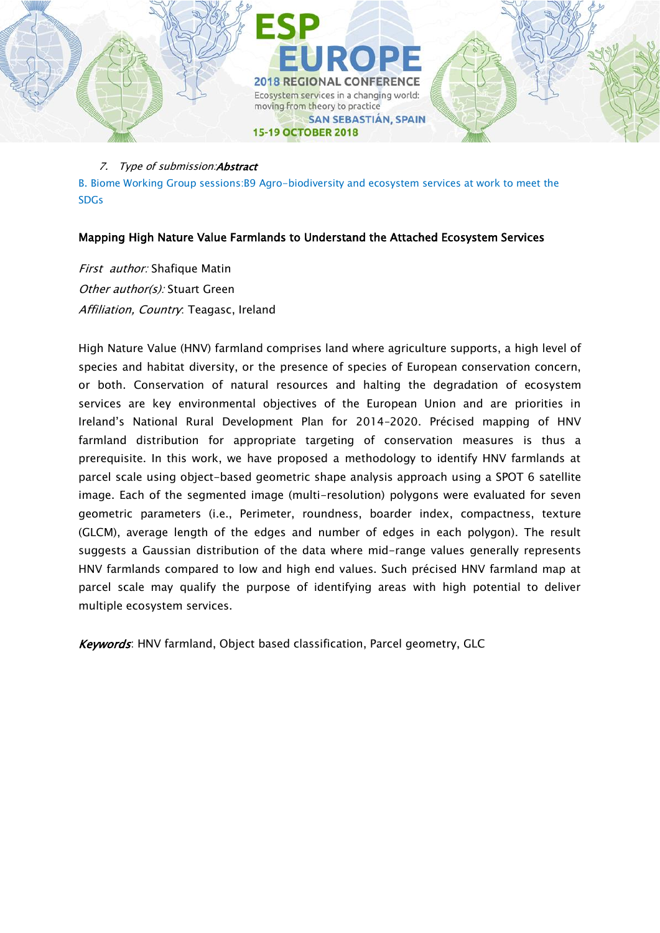

B. Biome Working Group sessions:B9 Agro-biodiversity and ecosystem services at work to meet the SDGs

## Mapping High Nature Value Farmlands to Understand the Attached Ecosystem Services

First author: Shafique Matin Other author(s): Stuart Green Affiliation, Country: Teagasc, Ireland

High Nature Value (HNV) farmland comprises land where agriculture supports, a high level of species and habitat diversity, or the presence of species of European conservation concern, or both. Conservation of natural resources and halting the degradation of ecosystem services are key environmental objectives of the European Union and are priorities in Ireland's National Rural Development Plan for 2014–2020. Précised mapping of HNV farmland distribution for appropriate targeting of conservation measures is thus a prerequisite. In this work, we have proposed a methodology to identify HNV farmlands at parcel scale using object-based geometric shape analysis approach using a SPOT 6 satellite image. Each of the segmented image (multi-resolution) polygons were evaluated for seven geometric parameters (i.e., Perimeter, roundness, boarder index, compactness, texture (GLCM), average length of the edges and number of edges in each polygon). The result suggests a Gaussian distribution of the data where mid-range values generally represents HNV farmlands compared to low and high end values. Such précised HNV farmland map at parcel scale may qualify the purpose of identifying areas with high potential to deliver multiple ecosystem services.

Keywords: HNV farmland, Object based classification, Parcel geometry, GLC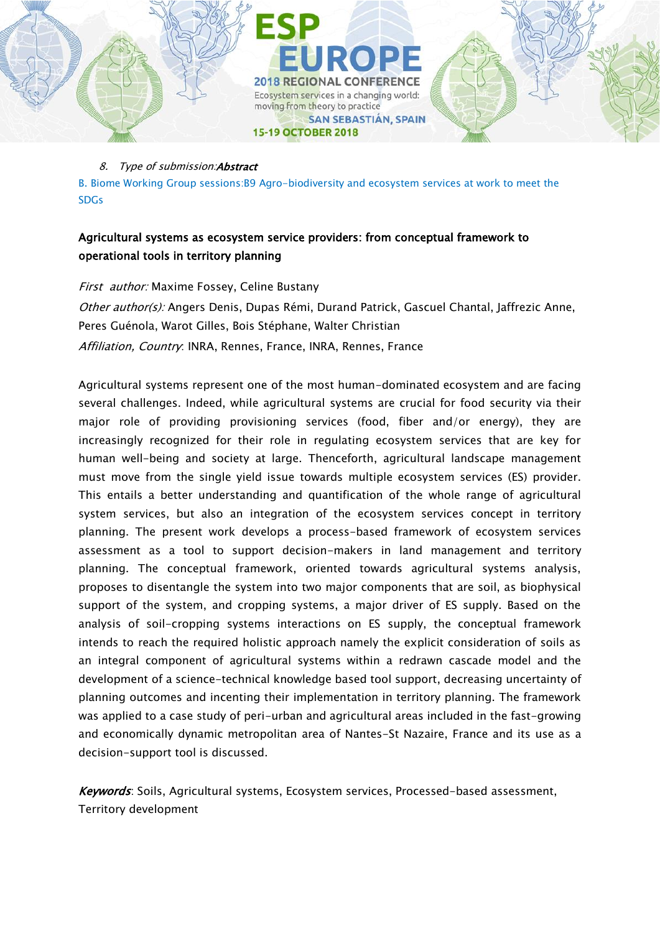

B. Biome Working Group sessions:B9 Agro-biodiversity and ecosystem services at work to meet the SDGs

# Agricultural systems as ecosystem service providers: from conceptual framework to operational tools in territory planning

First author: Maxime Fossey, Celine Bustany

Other author(s): Angers Denis, Dupas Rémi, Durand Patrick, Gascuel Chantal, Jaffrezic Anne, Peres Guénola, Warot Gilles, Bois Stéphane, Walter Christian Affiliation, Country: INRA, Rennes, France, INRA, Rennes, France

Agricultural systems represent one of the most human-dominated ecosystem and are facing several challenges. Indeed, while agricultural systems are crucial for food security via their major role of providing provisioning services (food, fiber and/or energy), they are increasingly recognized for their role in regulating ecosystem services that are key for human well-being and society at large. Thenceforth, agricultural landscape management must move from the single yield issue towards multiple ecosystem services (ES) provider. This entails a better understanding and quantification of the whole range of agricultural system services, but also an integration of the ecosystem services concept in territory planning. The present work develops a process-based framework of ecosystem services assessment as a tool to support decision-makers in land management and territory planning. The conceptual framework, oriented towards agricultural systems analysis, proposes to disentangle the system into two major components that are soil, as biophysical support of the system, and cropping systems, a major driver of ES supply. Based on the analysis of soil-cropping systems interactions on ES supply, the conceptual framework intends to reach the required holistic approach namely the explicit consideration of soils as an integral component of agricultural systems within a redrawn cascade model and the development of a science-technical knowledge based tool support, decreasing uncertainty of planning outcomes and incenting their implementation in territory planning. The framework was applied to a case study of peri-urban and agricultural areas included in the fast-growing and economically dynamic metropolitan area of Nantes-St Nazaire, France and its use as a decision-support tool is discussed.

Keywords: Soils, Agricultural systems, Ecosystem services, Processed-based assessment, Territory development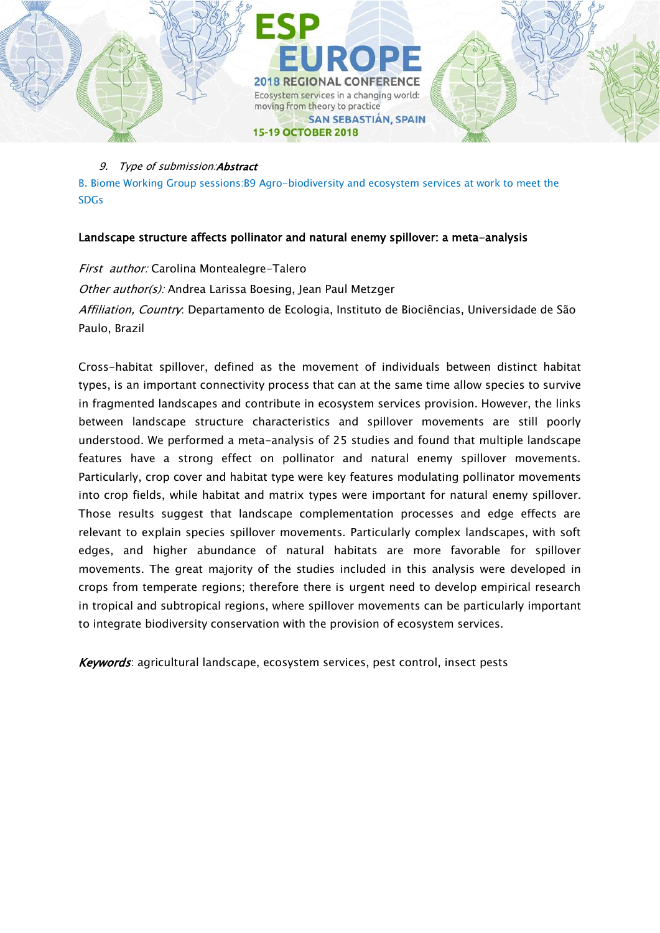

B. Biome Working Group sessions:B9 Agro-biodiversity and ecosystem services at work to meet the SDGs

# Landscape structure affects pollinator and natural enemy spillover: a meta-analysis

First author: Carolina Montealegre-Talero Other author(s): Andrea Larissa Boesing, Jean Paul Metzger Affiliation, Country: Departamento de Ecologia, Instituto de Biociências, Universidade de São Paulo, Brazil

Cross-habitat spillover, defined as the movement of individuals between distinct habitat types, is an important connectivity process that can at the same time allow species to survive in fragmented landscapes and contribute in ecosystem services provision. However, the links between landscape structure characteristics and spillover movements are still poorly understood. We performed a meta-analysis of 25 studies and found that multiple landscape features have a strong effect on pollinator and natural enemy spillover movements. Particularly, crop cover and habitat type were key features modulating pollinator movements into crop fields, while habitat and matrix types were important for natural enemy spillover. Those results suggest that landscape complementation processes and edge effects are relevant to explain species spillover movements. Particularly complex landscapes, with soft edges, and higher abundance of natural habitats are more favorable for spillover movements. The great majority of the studies included in this analysis were developed in crops from temperate regions; therefore there is urgent need to develop empirical research in tropical and subtropical regions, where spillover movements can be particularly important to integrate biodiversity conservation with the provision of ecosystem services.

Keywords: agricultural landscape, ecosystem services, pest control, insect pests